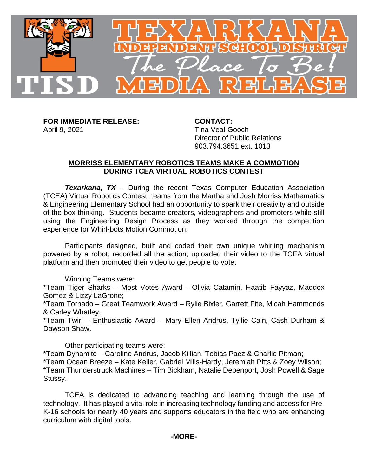

**FOR IMMEDIATE RELEASE: CONTACT:** April 9, 2021 **Tina Veal-Gooch** 

Director of Public Relations 903.794.3651 ext. 1013

## **MORRISS ELEMENTARY ROBOTICS TEAMS MAKE A COMMOTION DURING TCEA VIRTUAL ROBOTICS CONTEST**

*Texarkana, TX* – During the recent Texas Computer Education Association (TCEA) Virtual Robotics Contest, teams from the Martha and Josh Morriss Mathematics & Engineering Elementary School had an opportunity to spark their creativity and outside of the box thinking. Students became creators, videographers and promoters while still using the Engineering Design Process as they worked through the competition experience for Whirl-bots Motion Commotion.

Participants designed, built and coded their own unique whirling mechanism powered by a robot, recorded all the action, uploaded their video to the TCEA virtual platform and then promoted their video to get people to vote.

Winning Teams were:

\*Team Tiger Sharks – Most Votes Award - Olivia Catamin, Haatib Fayyaz, Maddox Gomez & Lizzy LaGrone;

\*Team Tornado – Great Teamwork Award – Rylie Bixler, Garrett Fite, Micah Hammonds & Carley Whatley;

\*Team Twirl – Enthusiastic Award – Mary Ellen Andrus, Tyllie Cain, Cash Durham & Dawson Shaw.

Other participating teams were:

\*Team Dynamite – Caroline Andrus, Jacob Killian, Tobias Paez & Charlie Pitman;

\*Team Ocean Breeze – Kate Keller, Gabriel Mills-Hardy, Jeremiah Pitts & Zoey Wilson; \*Team Thunderstruck Machines – Tim Bickham, Natalie Debenport, Josh Powell & Sage Stussy.

TCEA is dedicated to advancing teaching and learning through the use of technology. It has played a vital role in increasing technology funding and access for Pre-K-16 schools for nearly 40 years and supports educators in the field who are enhancing curriculum with digital tools.